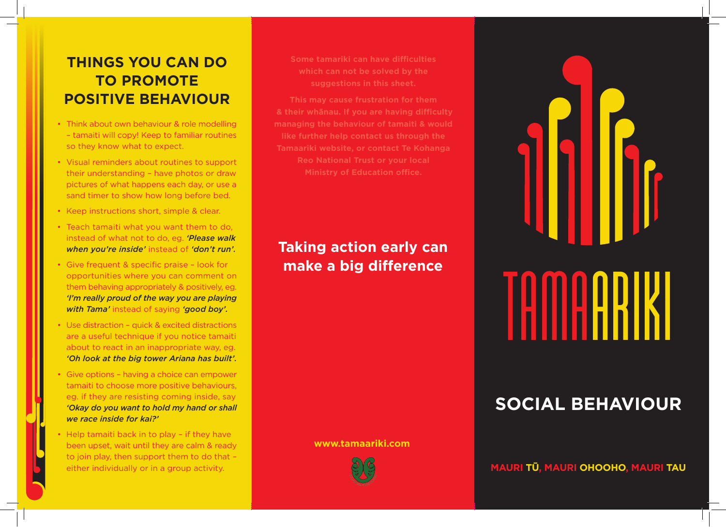# **THINGS YOU CAN DO TO PROMOTE POSITIVE BEHAVIOUR**

- Think about own behaviour & role modelling – tamaiti will copy! Keep to familiar routines so they know what to expect.
- Visual reminders about routines to support their understanding – have photos or draw pictures of what happens each day, or use a sand timer to show how long before bed.
- Keep instructions short, simple & clear.
- Teach tamaiti what you want them to do, instead of what not to do, eg. *'Please walk when you're inside'* instead of *'don't run'.*
- Give frequent & specific praise look for opportunities where you can comment on them behaving appropriately & positively, eg. *'I'm really proud of the way you are playing with Tama'* instead of saying *'good boy'.*
- Use distraction quick & excited distractions are a useful technique if you notice tamaiti about to react in an inappropriate way, eg. *'Oh look at the big tower Ariana has built'.*
- Give options having a choice can empower tamaiti to choose more positive behaviours, eg. if they are resisting coming inside, say *'Okay do you want to hold my hand or shall we race inside for kai?'*
- Help tamaiti back in to play if they have been upset, wait until they are calm & ready to join play, then support them to do that – either individually or in a group activity.

**Some tamariki can have difficulties which can not be solved by the suggestions in this sheet.** 

**This may cause frustration for them & their whānau. If you are having difficulty managing the behaviour of tamaiti & would like further help contact us through the Tamaariki website, or contact Te Kohanga Reo National Trust or your local Ministry of Education office.**

# **Taking action early can make a big difference**

**www.tamaariki.com**



# TAMAARIKI

# **SOCIAL BEHAVIOUR**

**MAURI TŪ, MAURI OHOOHO, MAURI TAU**